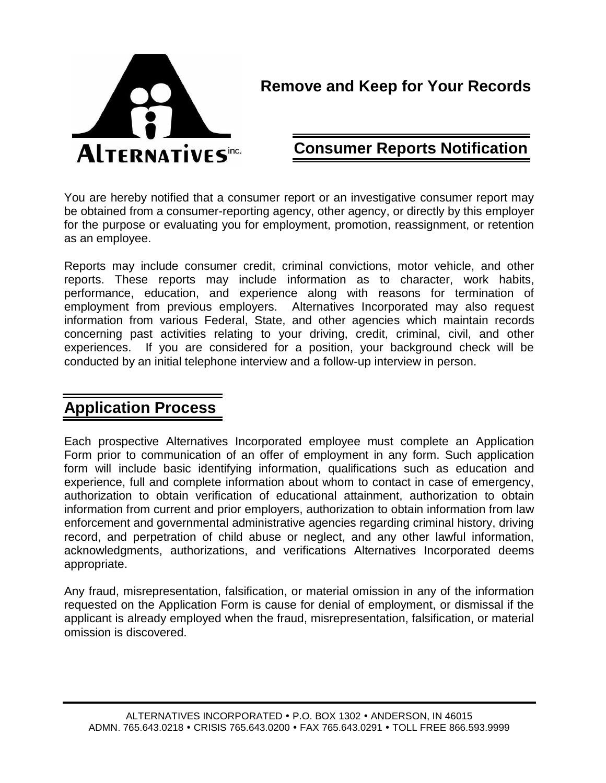

# **Remove and Keep for Your Records**

# **Consumer Reports Notification**

You are hereby notified that a consumer report or an investigative consumer report may be obtained from a consumer-reporting agency, other agency, or directly by this employer for the purpose or evaluating you for employment, promotion, reassignment, or retention as an employee.

Reports may include consumer credit, criminal convictions, motor vehicle, and other reports. These reports may include information as to character, work habits, performance, education, and experience along with reasons for termination of employment from previous employers. Alternatives Incorporated may also request information from various Federal, State, and other agencies which maintain records concerning past activities relating to your driving, credit, criminal, civil, and other experiences. If you are considered for a position, your background check will be conducted by an initial telephone interview and a follow-up interview in person.

# **Application Process**

Each prospective Alternatives Incorporated employee must complete an Application Form prior to communication of an offer of employment in any form. Such application form will include basic identifying information, qualifications such as education and experience, full and complete information about whom to contact in case of emergency, authorization to obtain verification of educational attainment, authorization to obtain information from current and prior employers, authorization to obtain information from law enforcement and governmental administrative agencies regarding criminal history, driving record, and perpetration of child abuse or neglect, and any other lawful information, acknowledgments, authorizations, and verifications Alternatives Incorporated deems appropriate.

Any fraud, misrepresentation, falsification, or material omission in any of the information requested on the Application Form is cause for denial of employment, or dismissal if the applicant is already employed when the fraud, misrepresentation, falsification, or material omission is discovered.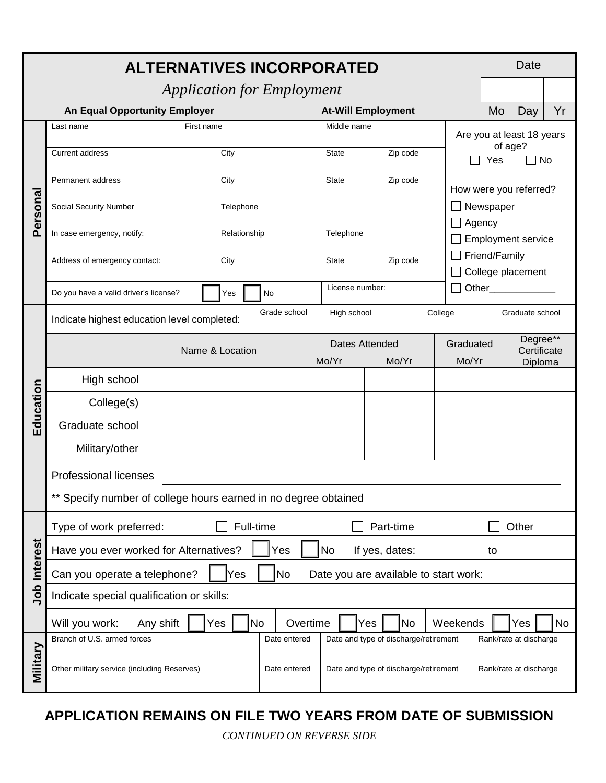| <b>ALTERNATIVES INCORPORATED</b> |                                                                                           |                        |              |                                       |                 |                                       |           | <b>Date</b>                                |                         |    |  |
|----------------------------------|-------------------------------------------------------------------------------------------|------------------------|--------------|---------------------------------------|-----------------|---------------------------------------|-----------|--------------------------------------------|-------------------------|----|--|
|                                  | <b>Application for Employment</b>                                                         |                        |              |                                       |                 |                                       |           |                                            |                         |    |  |
|                                  | <b>An Equal Opportunity Employer</b>                                                      |                        |              |                                       |                 | <b>At-Will Employment</b>             |           | Mo                                         | Day                     | Yr |  |
| Personal                         | Last name<br>First name                                                                   |                        |              | Middle name                           |                 |                                       |           | Are you at least 18 years                  |                         |    |  |
|                                  | Current address<br>City                                                                   |                        |              | Zip code<br><b>State</b>              |                 |                                       |           | of age?<br>$\Box$ No<br>Yes                |                         |    |  |
|                                  | Permanent address                                                                         | City                   |              |                                       | State           | Zip code                              |           |                                            |                         |    |  |
|                                  |                                                                                           |                        |              |                                       |                 |                                       |           |                                            | How were you referred?  |    |  |
|                                  | <b>Social Security Number</b><br>Telephone                                                |                        |              |                                       |                 |                                       |           | Newspaper                                  |                         |    |  |
|                                  | In case emergency, notify:<br>Relationship                                                |                        |              | Telephone                             |                 |                                       |           | $\Box$ Agency<br><b>Employment service</b> |                         |    |  |
|                                  | Address of emergency contact:<br>City                                                     |                        |              | Zip code<br><b>State</b>              |                 |                                       |           | Friend/Family                              |                         |    |  |
|                                  |                                                                                           |                        |              |                                       |                 |                                       |           | College placement                          |                         |    |  |
|                                  | Do you have a valid driver's license?                                                     | Yes                    | No           |                                       | License number: |                                       |           |                                            | Other______________     |    |  |
|                                  | Grade school<br>College<br>High school<br>Indicate highest education level completed:     |                        |              |                                       |                 |                                       |           |                                            | Graduate school         |    |  |
|                                  | Name & Location                                                                           |                        |              | Dates Attended                        |                 |                                       | Graduated |                                            | Degree**<br>Certificate |    |  |
|                                  |                                                                                           |                        |              |                                       | Mo/Yr           | Mo/Yr                                 | Mo/Yr     |                                            | Diploma                 |    |  |
|                                  | High school                                                                               |                        |              |                                       |                 |                                       |           |                                            |                         |    |  |
| Education                        | College(s)                                                                                |                        |              |                                       |                 |                                       |           |                                            |                         |    |  |
|                                  | Graduate school                                                                           |                        |              |                                       |                 |                                       |           |                                            |                         |    |  |
|                                  | Military/other                                                                            |                        |              |                                       |                 |                                       |           |                                            |                         |    |  |
|                                  | <b>Professional licenses</b>                                                              |                        |              |                                       |                 |                                       |           |                                            |                         |    |  |
|                                  | ** Specify number of college hours earned in no degree obtained                           |                        |              |                                       |                 |                                       |           |                                            |                         |    |  |
|                                  | Type of work preferred:<br>Full-time<br>Part-time                                         |                        |              |                                       |                 | Other                                 |           |                                            |                         |    |  |
|                                  | Have you ever worked for Alternatives?<br><b>No</b><br>Yes<br>If yes, dates:<br>to        |                        |              |                                       |                 |                                       |           |                                            |                         |    |  |
| <b>Job Interest</b>              | <b>No</b><br>Can you operate a telephone?<br>Yes<br>Date you are available to start work: |                        |              |                                       |                 |                                       |           |                                            |                         |    |  |
|                                  | Indicate special qualification or skills:                                                 |                        |              |                                       |                 |                                       |           |                                            |                         |    |  |
|                                  | Will you work:                                                                            | Any shift<br>No<br>Yes |              | Overtime                              |                 | <b>No</b><br>Yes                      | Weekends  |                                            | Yes                     | No |  |
|                                  | Branch of U.S. armed forces<br>Date entered                                               |                        |              | Date and type of discharge/retirement |                 |                                       |           | Rank/rate at discharge                     |                         |    |  |
| Military                         | Other military service (including Reserves)                                               |                        | Date entered |                                       |                 | Date and type of discharge/retirement |           |                                            | Rank/rate at discharge  |    |  |

### **APPLICATION REMAINS ON FILE TWO YEARS FROM DATE OF SUBMISSION**

*CONTINUED ON REVERSE SIDE*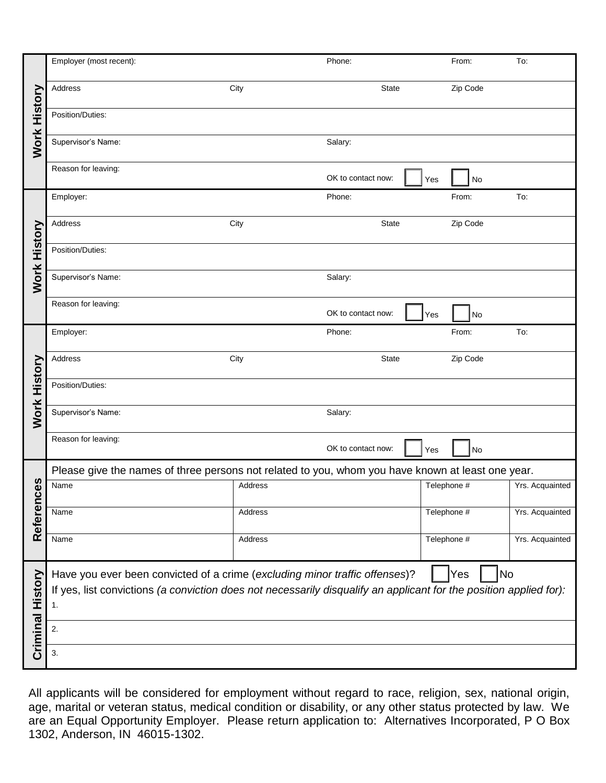| <b>Work History</b> | Employer (most recent):                                                                                                                                                                                              |         | Phone:             |             | From:    | To:             |  |  |
|---------------------|----------------------------------------------------------------------------------------------------------------------------------------------------------------------------------------------------------------------|---------|--------------------|-------------|----------|-----------------|--|--|
|                     | Address                                                                                                                                                                                                              | City    | <b>State</b>       |             | Zip Code |                 |  |  |
|                     | Position/Duties:                                                                                                                                                                                                     |         |                    |             |          |                 |  |  |
|                     | Supervisor's Name:                                                                                                                                                                                                   |         | Salary:            |             |          |                 |  |  |
|                     | Reason for leaving:                                                                                                                                                                                                  |         | OK to contact now: | Yes         | No       |                 |  |  |
| Work History        | Employer:                                                                                                                                                                                                            |         | Phone:             |             | From:    | To:             |  |  |
|                     | Address                                                                                                                                                                                                              | City    | <b>State</b>       |             | Zip Code |                 |  |  |
|                     | Position/Duties:                                                                                                                                                                                                     |         |                    |             |          |                 |  |  |
|                     | Supervisor's Name:                                                                                                                                                                                                   |         | Salary:            |             |          |                 |  |  |
|                     | Reason for leaving:                                                                                                                                                                                                  |         | OK to contact now: | Yes         | No       |                 |  |  |
|                     | Employer:                                                                                                                                                                                                            |         | Phone:             |             | From:    | To:             |  |  |
|                     | Address                                                                                                                                                                                                              | City    | <b>State</b>       |             | Zip Code |                 |  |  |
| <b>Work History</b> | Position/Duties:                                                                                                                                                                                                     |         |                    |             |          |                 |  |  |
|                     | Supervisor's Name:                                                                                                                                                                                                   |         | Salary:            |             |          |                 |  |  |
|                     | Reason for leaving:                                                                                                                                                                                                  |         | OK to contact now: | Yes         | No       |                 |  |  |
|                     | Please give the names of three persons not related to you, whom you have known at least one year.                                                                                                                    |         |                    |             |          |                 |  |  |
| es<br>Referenc      | Name                                                                                                                                                                                                                 | Address |                    | Telephone # |          | Yrs. Acquainted |  |  |
|                     | Name                                                                                                                                                                                                                 | Address |                    | Telephone # |          | Yrs. Acquainted |  |  |
|                     | Name                                                                                                                                                                                                                 | Address |                    | Telephone # |          | Yrs. Acquainted |  |  |
| Criminal History    | Have you ever been convicted of a crime (excluding minor traffic offenses)?<br>No<br>Yes<br>If yes, list convictions (a conviction does not necessarily disqualify an applicant for the position applied for):<br>1. |         |                    |             |          |                 |  |  |
|                     | 2.                                                                                                                                                                                                                   |         |                    |             |          |                 |  |  |
|                     | 3.                                                                                                                                                                                                                   |         |                    |             |          |                 |  |  |

All applicants will be considered for employment without regard to race, religion, sex, national origin, age, marital or veteran status, medical condition or disability, or any other status protected by law. We are an Equal Opportunity Employer. Please return application to: Alternatives Incorporated, P O Box 1302, Anderson, IN 46015-1302.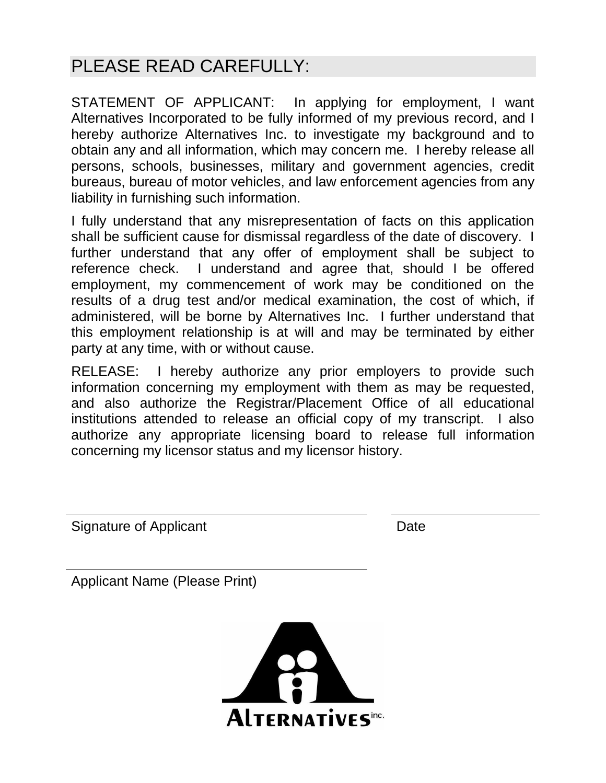# PLEASE READ CAREFULLY:

STATEMENT OF APPLICANT: In applying for employment, I want Alternatives Incorporated to be fully informed of my previous record, and I hereby authorize Alternatives Inc. to investigate my background and to obtain any and all information, which may concern me. I hereby release all persons, schools, businesses, military and government agencies, credit bureaus, bureau of motor vehicles, and law enforcement agencies from any liability in furnishing such information.

I fully understand that any misrepresentation of facts on this application shall be sufficient cause for dismissal regardless of the date of discovery. I further understand that any offer of employment shall be subject to reference check. I understand and agree that, should I be offered employment, my commencement of work may be conditioned on the results of a drug test and/or medical examination, the cost of which, if administered, will be borne by Alternatives Inc. I further understand that this employment relationship is at will and may be terminated by either party at any time, with or without cause.

RELEASE: I hereby authorize any prior employers to provide such information concerning my employment with them as may be requested, and also authorize the Registrar/Placement Office of all educational institutions attended to release an official copy of my transcript. I also authorize any appropriate licensing board to release full information concerning my licensor status and my licensor history.

Signature of Applicant Date Date

Applicant Name (Please Print)